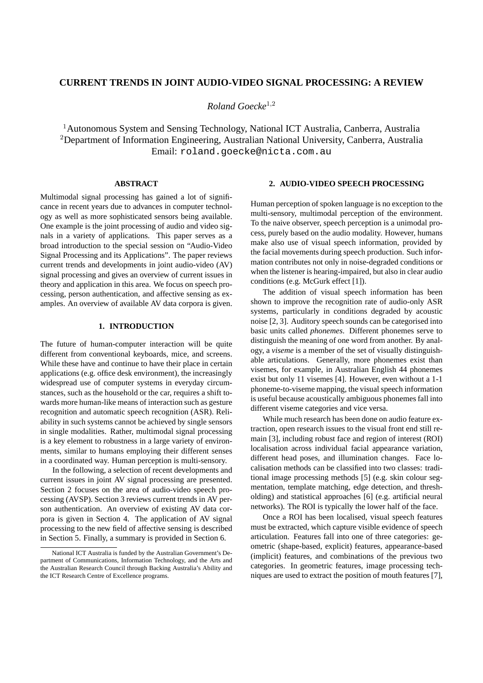# **CURRENT TRENDS IN JOINT AUDIO-VIDEO SIGNAL PROCESSING: A REVIEW**

*Roland Goecke*<sup>1</sup>,<sup>2</sup>

<sup>1</sup>Autonomous System and Sensing Technology, National ICT Australia, Canberra, Australia <sup>2</sup>Department of Information Engineering, Australian National University, Canberra, Australia Email: roland.goecke@nicta.com.au

## **ABSTRACT**

Multimodal signal processing has gained a lot of significance in recent years due to advances in computer technology as well as more sophisticated sensors being available. One example is the joint processing of audio and video signals in a variety of applications. This paper serves as a broad introduction to the special session on "Audio-Video Signal Processing and its Applications". The paper reviews current trends and developments in joint audio-video (AV) signal processing and gives an overview of current issues in theory and application in this area. We focus on speech processing, person authentication, and affective sensing as examples. An overview of available AV data corpora is given.

# **1. INTRODUCTION**

The future of human-computer interaction will be quite different from conventional keyboards, mice, and screens. While these have and continue to have their place in certain applications (e.g. office desk environment), the increasingly widespread use of computer systems in everyday circumstances, such as the household or the car, requires a shift towards more human-like means of interaction such as gesture recognition and automatic speech recognition (ASR). Reliability in such systems cannot be achieved by single sensors in single modalities. Rather, multimodal signal processing is a key element to robustness in a large variety of environments, similar to humans employing their different senses in a coordinated way. Human perception is multi-sensory.

In the following, a selection of recent developments and current issues in joint AV signal processing are presented. Section 2 focuses on the area of audio-video speech processing (AVSP). Section 3 reviews current trends in AV person authentication. An overview of existing AV data corpora is given in Section 4. The application of AV signal processing to the new field of affective sensing is described in Section 5. Finally, a summary is provided in Section 6.

# **2. AUDIO-VIDEO SPEECH PROCESSING**

Human perception of spoken language is no exception to the multi-sensory, multimodal perception of the environment. To the naive observer, speech perception is a unimodal process, purely based on the audio modality. However, humans make also use of visual speech information, provided by the facial movements during speech production. Such information contributes not only in noise-degraded conditions or when the listener is hearing-impaired, but also in clear audio conditions (e.g. McGurk effect [1]).

The addition of visual speech information has been shown to improve the recognition rate of audio-only ASR systems, particularly in conditions degraded by acoustic noise [2, 3]. Auditory speech sounds can be categorised into basic units called *phonemes*. Different phonemes serve to distinguish the meaning of one word from another. By analogy, a *viseme* is a member of the set of visually distinguishable articulations. Generally, more phonemes exist than visemes, for example, in Australian English 44 phonemes exist but only 11 visemes [4]. However, even without a 1-1 phoneme-to-viseme mapping, the visual speech information is useful because acoustically ambiguous phonemes fall into different viseme categories and vice versa.

While much research has been done on audio feature extraction, open research issues to the visual front end still remain [3], including robust face and region of interest (ROI) localisation across individual facial appearance variation, different head poses, and illumination changes. Face localisation methods can be classified into two classes: traditional image processing methods [5] (e.g. skin colour segmentation, template matching, edge detection, and thresholding) and statistical approaches [6] (e.g. artificial neural networks). The ROI is typically the lower half of the face.

Once a ROI has been localised, visual speech features must be extracted, which capture visible evidence of speech articulation. Features fall into one of three categories: geometric (shape-based, explicit) features, appearance-based (implicit) features, and combinations of the previous two categories. In geometric features, image processing techniques are used to extract the position of mouth features [7],

National ICT Australia is funded by the Australian Government's Department of Communications, Information Technology, and the Arts and the Australian Research Council through Backing Australia's Ability and the ICT Research Centre of Excellence programs.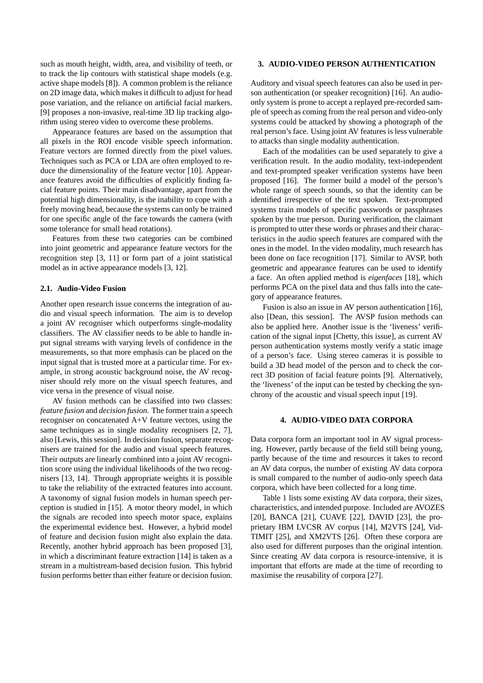such as mouth height, width, area, and visibility of teeth, or to track the lip contours with statistical shape models (e.g. active shape models [8]). A common problem is the reliance on 2D image data, which makes it difficult to adjust for head pose variation, and the reliance on artificial facial markers. [9] proposes a non-invasive, real-time 3D lip tracking algorithm using stereo video to overcome these problems.

Appearance features are based on the assumption that all pixels in the ROI encode visible speech information. Feature vectors are formed directly from the pixel values. Techniques such as PCA or LDA are often employed to reduce the dimensionality of the feature vector [10]. Appearance features avoid the difficulties of explicitly finding facial feature points. Their main disadvantage, apart from the potential high dimensionality, is the inability to cope with a freely moving head, because the systems can only be trained for one specific angle of the face towards the camera (with some tolerance for small head rotations).

Features from these two categories can be combined into joint geometric and appearance feature vectors for the recognition step [3, 11] or form part of a joint statistical model as in active appearance models [3, 12].

#### **2.1. Audio-Video Fusion**

Another open research issue concerns the integration of audio and visual speech information. The aim is to develop a joint AV recogniser which outperforms single-modality classifiers. The AV classifier needs to be able to handle input signal streams with varying levels of confidence in the measurements, so that more emphasis can be placed on the input signal that is trusted more at a particular time. For example, in strong acoustic background noise, the AV recogniser should rely more on the visual speech features, and vice versa in the presence of visual noise.

AV fusion methods can be classified into two classes: *feature fusion* and *decision fusion*. The former train a speech recogniser on concatenated A+V feature vectors, using the same techniques as in single modality recognisers [2, 7], also [Lewis, this session]. In decision fusion, separate recognisers are trained for the audio and visual speech features. Their outputs are linearly combined into a joint AV recognition score using the individual likelihoods of the two recognisers [13, 14]. Through appropriate weights it is possible to take the reliability of the extracted features into account. A taxonomy of signal fusion models in human speech perception is studied in [15]. A motor theory model, in which the signals are recoded into speech motor space, explains the experimental evidence best. However, a hybrid model of feature and decision fusion might also explain the data. Recently, another hybrid approach has been proposed [3], in which a discriminant feature extraction [14] is taken as a stream in a multistream-based decision fusion. This hybrid fusion performs better than either feature or decision fusion.

### **3. AUDIO-VIDEO PERSON AUTHENTICATION**

Auditory and visual speech features can also be used in person authentication (or speaker recognition) [16]. An audioonly system is prone to accept a replayed pre-recorded sample of speech as coming from the real person and video-only systems could be attacked by showing a photograph of the real person's face. Using joint AV features is less vulnerable to attacks than single modality authentication.

Each of the modalities can be used separately to give a verification result. In the audio modality, text-independent and text-prompted speaker verification systems have been proposed [16]. The former build a model of the person's whole range of speech sounds, so that the identity can be identified irrespective of the text spoken. Text-prompted systems train models of specific passwords or passphrases spoken by the true person. During verification, the claimant is prompted to utter these words or phrases and their characteristics in the audio speech features are compared with the ones in the model. In the video modality, much research has been done on face recognition [17]. Similar to AVSP, both geometric and appearance features can be used to identify a face. An often applied method is *eigenfaces* [18], which performs PCA on the pixel data and thus falls into the category of appearance features.

Fusion is also an issue in AV person authentication [16], also [Dean, this session]. The AVSP fusion methods can also be applied here. Another issue is the 'liveness' verification of the signal input [Chetty, this issue], as current AV person authentication systems mostly verify a static image of a person's face. Using stereo cameras it is possible to build a 3D head model of the person and to check the correct 3D position of facial feature points [9]. Alternatively, the 'liveness' of the input can be tested by checking the synchrony of the acoustic and visual speech input [19].

#### **4. AUDIO-VIDEO DATA CORPORA**

Data corpora form an important tool in AV signal processing. However, partly because of the field still being young, partly because of the time and resources it takes to record an AV data corpus, the number of existing AV data corpora is small compared to the number of audio-only speech data corpora, which have been collected for a long time.

Table 1 lists some existing AV data corpora, their sizes, characteristics, and intended purpose. Included are AVOZES [20], BANCA [21], CUAVE [22], DAVID [23], the proprietary IBM LVCSR AV corpus [14], M2VTS [24], Vid-TIMIT [25], and XM2VTS [26]. Often these corpora are also used for different purposes than the original intention. Since creating AV data corpora is resource-intensive, it is important that efforts are made at the time of recording to maximise the reusability of corpora [27].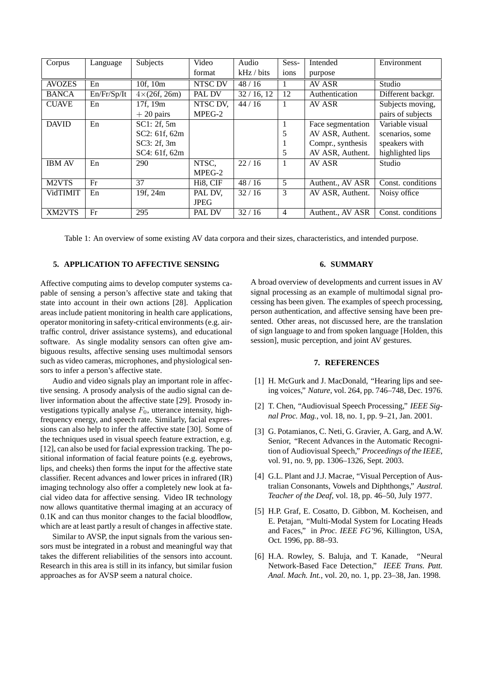| Corpus             | Language    | Subjects            | Video          | Audio      | Sess-          | Intended          | Environment       |
|--------------------|-------------|---------------------|----------------|------------|----------------|-------------------|-------------------|
|                    |             |                     | format         | kHz / bits | ions           | purpose           |                   |
| <b>AVOZES</b>      | En          | 10f, 10m            | <b>NTSC DV</b> | 48/16      |                | AV ASR            | Studio            |
| <b>BANCA</b>       | En/Fr/Sp/It | $4\times(26f, 26m)$ | PAL DV         | 32/16, 12  | 12             | Authentication    | Different backgr. |
| <b>CUAVE</b>       | En          | 17f, 19m            | NTSC DV,       | 44/16      |                | AV ASR            | Subjects moving,  |
|                    |             | $+20$ pairs         | MPEG-2         |            |                |                   | pairs of subjects |
| <b>DAVID</b>       | En          | SC1: 2f, 5m         |                |            |                | Face segmentation | Variable visual   |
|                    |             | SC2: 61f, 62m       |                |            | 5              | AV ASR, Authent.  | scenarios, some   |
|                    |             | SC3: 2f, 3m         |                |            |                | Compr., synthesis | speakers with     |
|                    |             | SC4: 61f, 62m       |                |            | 5              | AV ASR, Authent.  | highlighted lips  |
| <b>IBM AV</b>      | En          | 290                 | NTSC.          | 22/16      | $\mathbf{1}$   | AV ASR            | Studio            |
|                    |             |                     | MPEG-2         |            |                |                   |                   |
| M <sub>2</sub> VTS | Fr          | 37                  | Hi8, CIF       | 48/16      | 5              | Authent., AV ASR  | Const. conditions |
| <b>VidTIMIT</b>    | En          | 19f, 24m            | PAL DV,        | 32/16      | 3              | AV ASR, Authent.  | Noisy office      |
|                    |             |                     | <b>JPEG</b>    |            |                |                   |                   |
| XM2VTS             | Fr          | 295                 | <b>PAL DV</b>  | 32/16      | $\overline{4}$ | Authent., AV ASR  | Const. conditions |

Table 1: An overview of some existing AV data corpora and their sizes, characteristics, and intended purpose.

### **5. APPLICATION TO AFFECTIVE SENSING**

Affective computing aims to develop computer systems capable of sensing a person's affective state and taking that state into account in their own actions [28]. Application areas include patient monitoring in health care applications, operator monitoring in safety-critical environments (e.g. airtraffic control, driver assistance systems), and educational software. As single modality sensors can often give ambiguous results, affective sensing uses multimodal sensors such as video cameras, microphones, and physiological sensors to infer a person's affective state.

Audio and video signals play an important role in affective sensing. A prosody analysis of the audio signal can deliver information about the affective state [29]. Prosody investigations typically analyse  $F_0$ , utterance intensity, highfrequency energy, and speech rate. Similarly, facial expressions can also help to infer the affective state [30]. Some of the techniques used in visual speech feature extraction, e.g. [12], can also be used for facial expression tracking. The positional information of facial feature points (e.g. eyebrows, lips, and cheeks) then forms the input for the affective state classifier. Recent advances and lower prices in infrared (IR) imaging technology also offer a completely new look at facial video data for affective sensing. Video IR technology now allows quantitative thermal imaging at an accuracy of 0.1K and can thus monitor changes to the facial bloodflow, which are at least partly a result of changes in affective state.

Similar to AVSP, the input signals from the various sensors must be integrated in a robust and meaningful way that takes the different reliabilities of the sensors into account. Research in this area is still in its infancy, but similar fusion approaches as for AVSP seem a natural choice.

# **6. SUMMARY**

A broad overview of developments and current issues in AV signal processing as an example of multimodal signal processing has been given. The examples of speech processing, person authentication, and affective sensing have been presented. Other areas, not discussed here, are the translation of sign language to and from spoken language [Holden, this session], music perception, and joint AV gestures.

## **7. REFERENCES**

- [1] H. McGurk and J. MacDonald, "Hearing lips and seeing voices," *Nature*, vol. 264, pp. 746–748, Dec. 1976.
- [2] T. Chen, "Audiovisual Speech Processing," *IEEE Signal Proc. Mag.*, vol. 18, no. 1, pp. 9–21, Jan. 2001.
- [3] G. Potamianos, C. Neti, G. Gravier, A. Garg, and A.W. Senior, "Recent Advances in the Automatic Recognition of Audiovisual Speech," *Proceedings of the IEEE*, vol. 91, no. 9, pp. 1306–1326, Sept. 2003.
- [4] G.L. Plant and J.J. Macrae, "Visual Perception of Australian Consonants, Vowels and Diphthongs," *Austral. Teacher of the Deaf*, vol. 18, pp. 46–50, July 1977.
- [5] H.P. Graf, E. Cosatto, D. Gibbon, M. Kocheisen, and E. Petajan, "Multi-Modal System for Locating Heads and Faces," in *Proc. IEEE FG'96*, Killington, USA, Oct. 1996, pp. 88–93.
- [6] H.A. Rowley, S. Baluja, and T. Kanade, "Neural Network-Based Face Detection," *IEEE Trans. Patt. Anal. Mach. Int.*, vol. 20, no. 1, pp. 23–38, Jan. 1998.